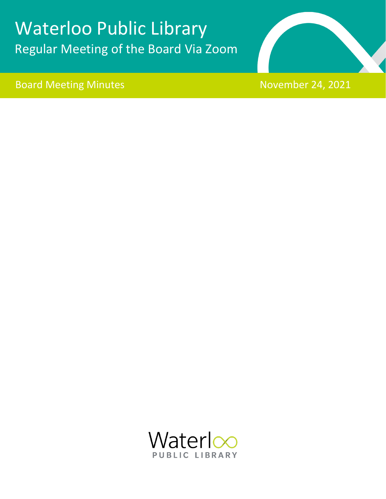# Waterloo Public Library Regular Meeting of the Board Via Zoom

# Board Meeting Minutes November 24, 2021

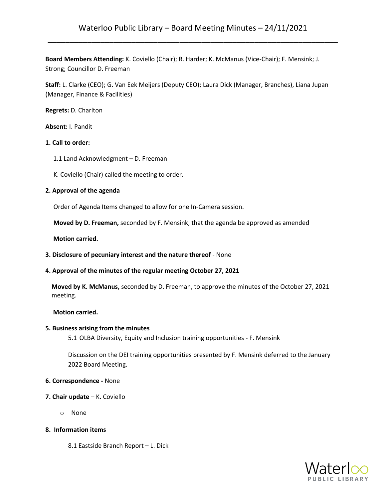**Board Members Attending:** K. Coviello (Chair); R. Harder; K. McManus (Vice-Chair); F. Mensink; J. Strong; Councillor D. Freeman

**Staff:** L. Clarke (CEO); G. Van Eek Meijers (Deputy CEO); Laura Dick (Manager, Branches), Liana Jupan (Manager, Finance & Facilities)

**Regrets:** D. Charlton

**Absent:** I. Pandit

#### **1. Call to order:**

- 1.1 Land Acknowledgment D. Freeman
- K. Coviello (Chair) called the meeting to order.

#### **2. Approval of the agenda**

Order of Agenda Items changed to allow for one In-Camera session.

**Moved by D. Freeman,** seconded by F. Mensink, that the agenda be approved as amended

 **Motion carried.**

**3. Disclosure of pecuniary interest and the nature thereof** - None

#### **4. Approval of the minutes of the regular meeting October 27, 2021**

**Moved by K. McManus,** seconded by D. Freeman, to approve the minutes of the October 27, 2021 meeting.

#### **Motion carried.**

#### **5. Business arising from the minutes**

5.1 OLBA Diversity, Equity and Inclusion training opportunities - F. Mensink

Discussion on the DEI training opportunities presented by F. Mensink deferred to the January 2022 Board Meeting.

#### **6. Correspondence -** None

- **7. Chair update** K. Coviello
	- o None

### **8. Information items**

8.1 Eastside Branch Report – L. Dick

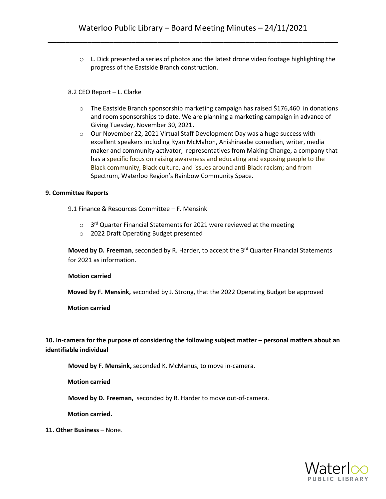o L. Dick presented a series of photos and the latest drone video footage highlighting the progress of the Eastside Branch construction.

#### 8.2 CEO Report – L. Clarke

- $\circ$  The Eastside Branch sponsorship marketing campaign has raised \$176,460 in donations and room sponsorships to date. We are planning a marketing campaign in advance of Giving Tuesday, November 30, 2021**.**
- o Our November 22, 2021 Virtual Staff Development Day was a huge success with excellent speakers including Ryan McMahon, Anishinaabe comedian, writer, media maker and community activator; representatives from Making Change, a company that has a specific focus on raising awareness and educating and exposing people to the Black community, Black culture, and issues around anti-Black racism; and from Spectrum, Waterloo Region's Rainbow Community Space.

#### **9. Committee Reports**

9.1 Finance & Resources Committee – F. Mensink

- $\circ$  3<sup>rd</sup> Quarter Financial Statements for 2021 were reviewed at the meeting
- o 2022 Draft Operating Budget presented

**Moved by D. Freeman**, seconded by R. Harder, to accept the 3<sup>rd</sup> Quarter Financial Statements for 2021 as information.

#### **Motion carried**

 **Moved by F. Mensink,** seconded by J. Strong, that the 2022 Operating Budget be approved

**Motion carried**

**10. In-camera for the purpose of considering the following subject matter – personal matters about an identifiable individual**

**Moved by F. Mensink,** seconded K. McManus, to move in-camera.

 **Motion carried**

 **Moved by D. Freeman,** seconded by R. Harder to move out-of-camera.

 **Motion carried.**

**11. Other Business** – None.